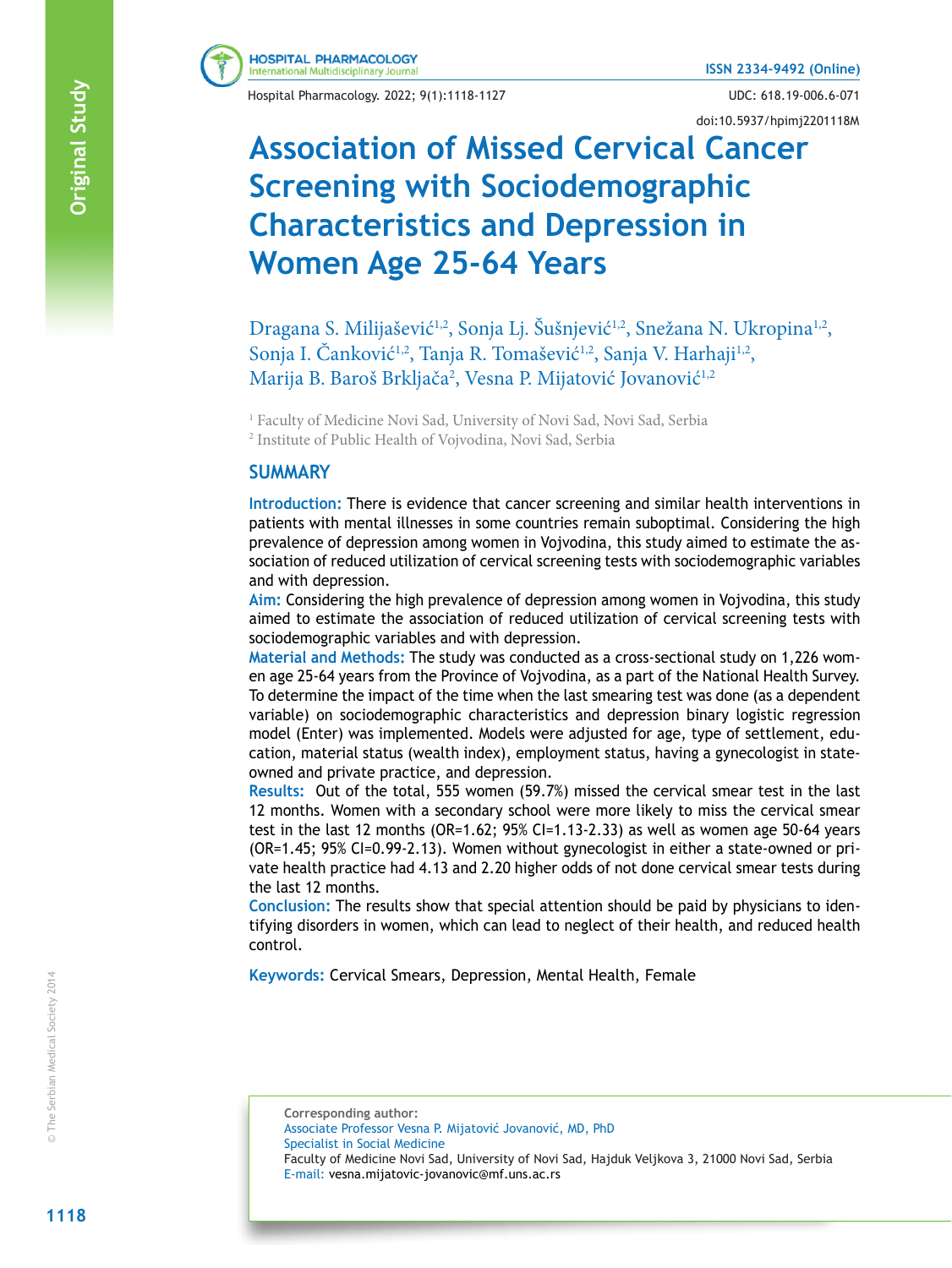

Hospital Pharmacology. 2022; 9(1):1118-1127 UDC: 618.19-006.6-071

doi:10.5937/hpimj2201118M

# **Association of Missed Cervical Cancer Screening with Sociodemographic Characteristics and Depression in Women Age 25-64 Years**

Dragana S. Milijašević<sup>1,2</sup>, Sonja Lj. Šušnjević<sup>1,2</sup>, Snežana N. Ukropina<sup>1,2</sup>, Sonja I. Čanković<sup>1,2</sup>, Tanja R. Tomašević<sup>1,2</sup>, Sanja V. Harhaji<sup>1,2</sup>, Marija B. Baroš Brkljača<sup>2</sup>, Vesna P. Mijatović Jovanović<sup>1,2</sup>

1 Faculty of Medicine Novi Sad, University of Novi Sad, Novi Sad, Serbia

2 Institute of Public Health of Vojvodina, Novi Sad, Serbia

#### **SUMMARY**

**Introduction:** There is evidence that cancer screening and similar health interventions in patients with mental illnesses in some countries remain suboptimal. Considering the high prevalence of depression among women in Vojvodina, this study aimed to estimate the association of reduced utilization of cervical screening tests with sociodemographic variables and with depression.

**Aim:** Considering the high prevalence of depression among women in Vojvodina, this study aimed to estimate the association of reduced utilization of cervical screening tests with sociodemographic variables and with depression.

**Material and Methods:** The study was conducted as a cross-sectional study on 1,226 women age 25-64 years from the Province of Vojvodina, as a part of the National Health Survey. To determine the impact of the time when the last smearing test was done (as a dependent variable) on sociodemographic characteristics and depression binary logistic regression model (Enter) was implemented. Models were adjusted for age, type of settlement, education, material status (wealth index), employment status, having a gynecologist in stateowned and private practice, and depression.

**Results:** Out of the total, 555 women (59.7%) missed the cervical smear test in the last 12 months. Women with a secondary school were more likely to miss the cervical smear test in the last 12 months (OR=1.62; 95% CI=1.13-2.33) as well as women age 50-64 years (OR=1.45; 95% CI=0.99-2.13). Women without gynecologist in either a state-owned or private health practice had 4.13 and 2.20 higher odds of not done cervical smear tests during the last 12 months.

**Conclusion:** The results show that special attention should be paid by physicians to identifying disorders in women, which can lead to neglect of their health, and reduced health control.

**Keywords:** Cervical Smears, Depression, Mental Health, Female

**Corresponding author:** Associate Professor Vesna P. Mijatović Jovanović, MD, PhD Specialist in Social Medicine Faculty of Medicine Novi Sad, University of Novi Sad, Hajduk Veljkova 3, 21000 Novi Sad, Serbia E-mail: vesna.mijatovic-jovanovic@mf.uns.ac.rs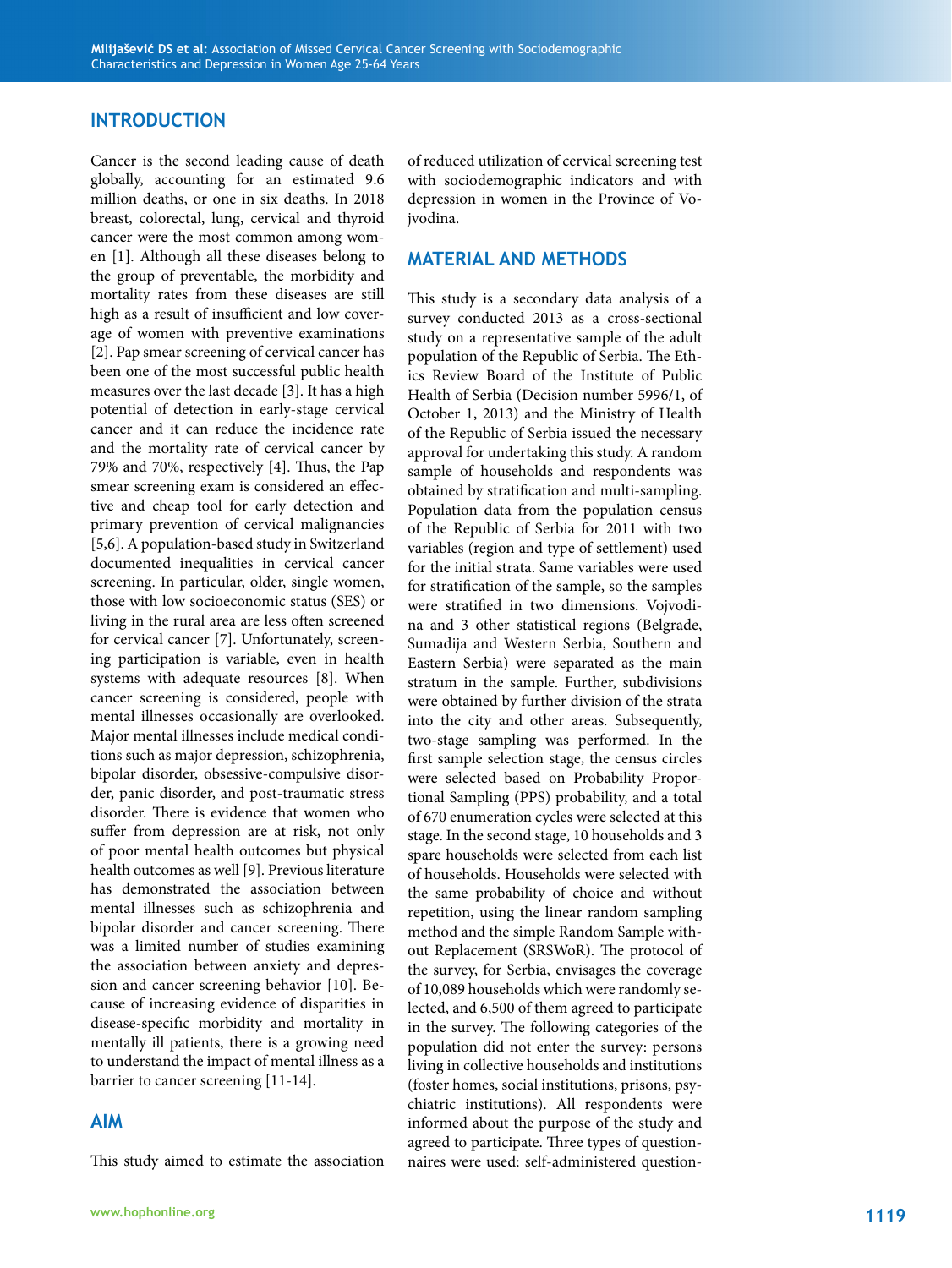#### **INTRODUCTION**

Cancer is the second leading cause of death globally, accounting for an estimated 9.6 million deaths, or one in six deaths. In 2018 breast, colorectal, lung, cervical and thyroid cancer were the most common among wom en [1]. Although all these diseases belong to the group of preventable, the morbidity and mortality rates from these diseases are still high as a result of insufficient and low cover age of women with preventive examinations [2]. Pap smear screening of cervical cancer has been one of the most successful public health measures over the last decade [3]. It has a high potential of detection in early-stage cervical cancer and it can reduce the incidence rate and the mortality rate of cervical cancer by 79% and 70%, respectively [4]. Thus, the Pap smear screening exam is considered an effec tive and cheap tool for early detection and primary prevention of cervical malignancies [5,6]. A population-based study in Switzerland documented inequalities in cervical cancer screening. In particular, older, single women, those with low socioeconomic status (SES) or living in the rural area are less often screened for cervical cancer [7]. Unfortunately, screen ing participation is variable, even in health systems with adequate resources [8]. When cancer screening is considered, people with mental illnesses occasionally are overlooked. Major mental illnesses include medical condi tions such as major depression, schizophrenia, bipolar disorder, obsessive-compulsive disor der, panic disorder, and post-traumatic stress disorder. There is evidence that women who suffer from depression are at risk, not only of poor mental health outcomes but physical health outcomes as well [9]. Previous literature has demonstrated the association between mental illnesses such as schizophrenia and bipolar disorder and cancer screening. There was a limited number of studies examining the association between anxiety and depres sion and cancer screening behavior [10]. Be cause of increasing evidence of disparities in disease-specifıc morbidity and mortality in mentally ill patients, there is a growing need to understand the impact of mental illness as a barrier to cancer screening [11-14].

#### **AIM**

This study aimed to estimate the association

of reduced utilization of cervical screening test with sociodemographic indicators and with depression in women in the Province of Vo jvodina.

#### **MATERIAL AND METHODS**

This study is a secondary data analysis of a survey conducted 2013 as a cross-sectional study on a representative sample of the adult population of the Republic of Serbia. The Eth ics Review Board of the Institute of Public Health of Serbia (Decision number 5996/1, of October 1, 2013) and the Ministry of Health of the Republic of Serbia issued the necessary approval for undertaking this study. A random sample of households and respondents was obtained by stratification and multi-sampling. Population data from the population census of the Republic of Serbia for 2011 with two variables (region and type of settlement) used for the initial strata. Same variables were used for stratification of the sample, so the samples were stratified in two dimensions. Vojvodi na and 3 other statistical regions (Belgrade, Sumadija and Western Serbia, Southern and Eastern Serbia) were separated as the main stratum in the sample. Further, subdivisions were obtained by further division of the strata into the city and other areas. Subsequently, two-stage sampling was performed. In the first sample selection stage, the census circles were selected based on Probability Propor tional Sampling (PPS) probability, and a total of 670 enumeration cycles were selected at this stage. In the second stage, 10 households and 3 spare households were selected from each list of households. Households were selected with the same probability of choice and without repetition, using the linear random sampling method and the simple Random Sample with out Replacement (SRSWoR). The protocol of the survey, for Serbia, envisages the coverage of 10,089 households which were randomly se lected, and 6,500 of them agreed to participate in the survey. The following categories of the population did not enter the survey: persons living in collective households and institutions (foster homes, social institutions, prisons, psy chiatric institutions). All respondents were informed about the purpose of the study and agreed to participate. Three types of question naires were used: self-administered question -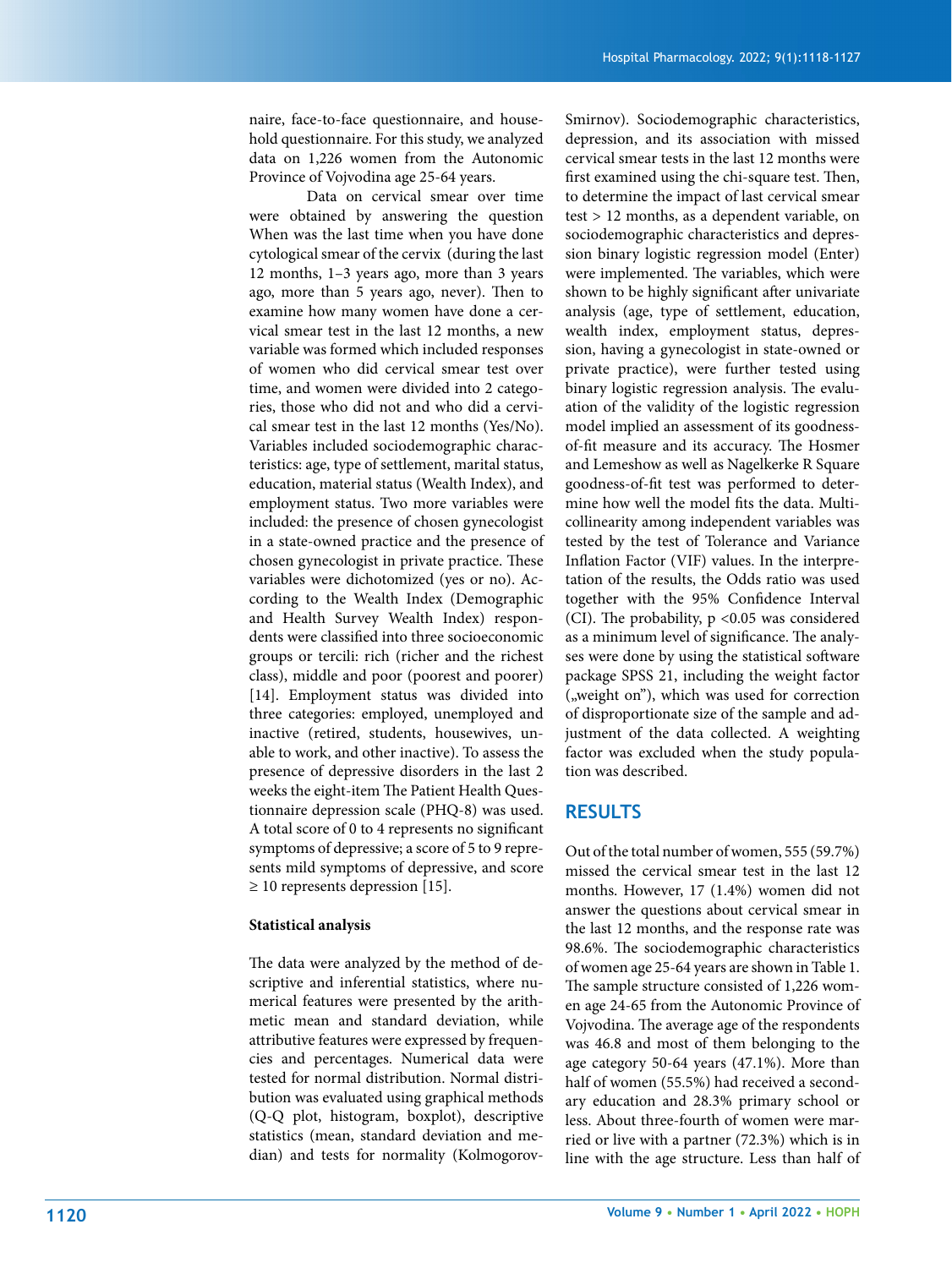naire, face-to-face questionnaire, and household questionnaire. For this study, we analyzed data on 1,226 women from the Autonomic Province of Vojvodina age 25-64 years.

Data on cervical smear over time were obtained by answering the question When was the last time when you have done cytological smear of the cervix (during the last 12 months, 1–3 years ago, more than 3 years ago, more than 5 years ago, never). Then to examine how many women have done a cervical smear test in the last 12 months, a new variable was formed which included responses of women who did cervical smear test over time, and women were divided into 2 categories, those who did not and who did a cervical smear test in the last 12 months (Yes/No). Variables included sociodemographic characteristics: age, type of settlement, marital status, education, material status (Wealth Index), and employment status. Two more variables were included: the presence of chosen gynecologist in a state-owned practice and the presence of chosen gynecologist in private practice. These variables were dichotomized (yes or no). According to the Wealth Index (Demographic and Health Survey Wealth Index) respondents were classified into three socioeconomic groups or tercili: rich (richer and the richest class), middle and poor (poorest and poorer) [14]. Employment status was divided into three categories: employed, unemployed and inactive (retired, students, housewives, unable to work, and other inactive). To assess the presence of depressive disorders in the last 2 weeks the eight-item The Patient Health Questionnaire depression scale (PHQ-8) was used. A total score of 0 to 4 represents no significant symptoms of depressive; a score of 5 to 9 represents mild symptoms of depressive, and score  $\geq$  10 represents depression [15].

#### **Statistical analysis**

The data were analyzed by the method of descriptive and inferential statistics, where numerical features were presented by the arithmetic mean and standard deviation, while attributive features were expressed by frequencies and percentages. Numerical data were tested for normal distribution. Normal distribution was evaluated using graphical methods (Q-Q plot, histogram, boxplot), descriptive statistics (mean, standard deviation and median) and tests for normality (KolmogorovSmirnov). Sociodemographic characteristics, depression, and its association with missed cervical smear tests in the last 12 months were first examined using the chi-square test. Then, to determine the impact of last cervical smear test > 12 months, as a dependent variable, on sociodemographic characteristics and depression binary logistic regression model (Enter) were implemented. The variables, which were shown to be highly significant after univariate analysis (age, type of settlement, education, wealth index, employment status, depression, having a gynecologist in state-owned or private practice), were further tested using binary logistic regression analysis. The evaluation of the validity of the logistic regression model implied an assessment of its goodnessof-fit measure and its accuracy. The Hosmer and Lemeshow as well as Nagelkerke R Square goodness-of-fit test was performed to determine how well the model fits the data. Multicollinearity among independent variables was tested by the test of Tolerance and Variance Inflation Factor (VIF) values. In the interpretation of the results, the Odds ratio was used together with the 95% Confidence Interval (CI). The probability, p <0.05 was considered as a minimum level of significance. The analyses were done by using the statistical software package SPSS 21, including the weight factor ("weight on"), which was used for correction of disproportionate size of the sample and adjustment of the data collected. A weighting factor was excluded when the study population was described.

#### **RESULTS**

Out of the total number of women, 555 (59.7%) missed the cervical smear test in the last 12 months. However, 17 (1.4%) women did not answer the questions about cervical smear in the last 12 months, and the response rate was 98.6%. The sociodemographic characteristics of women age 25-64 years are shown in Table 1. The sample structure consisted of 1,226 women age 24-65 from the Autonomic Province of Vojvodina. The average age of the respondents was 46.8 and most of them belonging to the age category 50-64 years (47.1%). More than half of women (55.5%) had received a secondary education and 28.3% primary school or less. About three-fourth of women were married or live with a partner (72.3%) which is in line with the age structure. Less than half of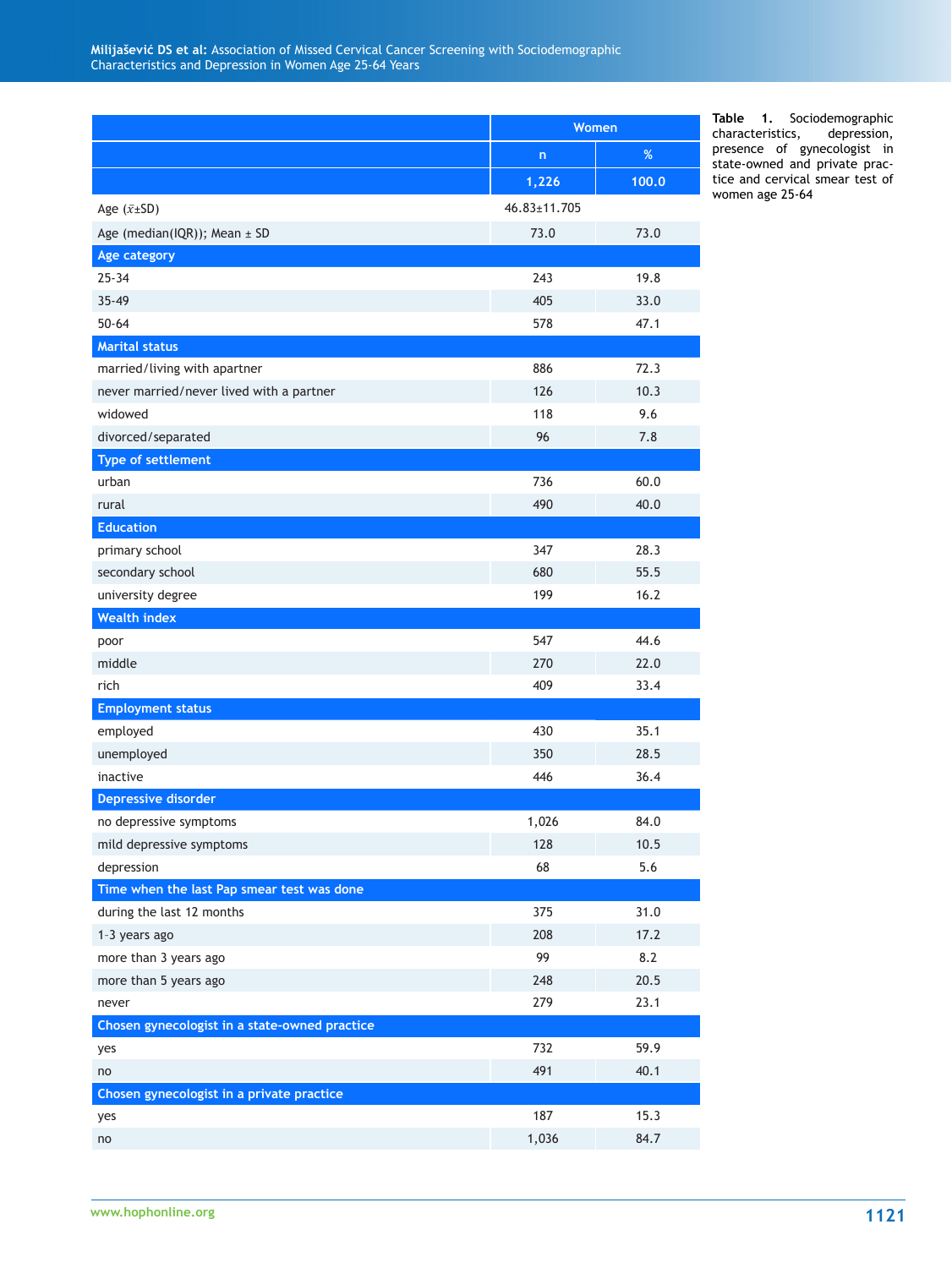|                                               | Women        |       |  |  |
|-----------------------------------------------|--------------|-------|--|--|
|                                               | $\mathsf{n}$ | %     |  |  |
|                                               | 1,226        | 100.0 |  |  |
| Age $(\bar{x} \pm SD)$                        | 46.83±11.705 |       |  |  |
| Age (median(IQR)); Mean $\pm$ SD              | 73.0         | 73.0  |  |  |
| Age category                                  |              |       |  |  |
| $25 - 34$                                     | 243          | 19.8  |  |  |
| $35 - 49$                                     | 405          | 33.0  |  |  |
| $50 - 64$                                     | 578          | 47.1  |  |  |
| <b>Marital status</b>                         |              |       |  |  |
| married/living with apartner                  | 886          | 72.3  |  |  |
| never married/never lived with a partner      | 126          | 10.3  |  |  |
| widowed                                       | 118          | 9.6   |  |  |
| divorced/separated                            | 96           | 7.8   |  |  |
| <b>Type of settlement</b>                     |              |       |  |  |
| urban                                         | 736          | 60.0  |  |  |
| rural                                         | 490          | 40.0  |  |  |
| <b>Education</b>                              |              |       |  |  |
| primary school                                | 347          | 28.3  |  |  |
| secondary school                              | 680          | 55.5  |  |  |
| university degree                             | 199          | 16.2  |  |  |
| <b>Wealth index</b>                           |              |       |  |  |
| poor                                          | 547          | 44.6  |  |  |
| middle                                        | 270          | 22.0  |  |  |
| rich                                          | 409          | 33.4  |  |  |
| <b>Employment status</b>                      |              |       |  |  |
| employed                                      | 430          | 35.1  |  |  |
| unemployed                                    | 350          | 28.5  |  |  |
| inactive                                      | 446          | 36.4  |  |  |
| <b>Depressive disorder</b>                    |              |       |  |  |
| no depressive symptoms                        | 1,026        | 84.0  |  |  |
| mild depressive symptoms                      | 128          | 10.5  |  |  |
| depression                                    | 68           | 5.6   |  |  |
| Time when the last Pap smear test was done    |              |       |  |  |
| during the last 12 months                     | 375          | 31.0  |  |  |
| 1-3 years ago                                 | 208          | 17.2  |  |  |
| more than 3 years ago                         | 99           | 8.2   |  |  |
| more than 5 years ago                         | 248          | 20.5  |  |  |
| never                                         | 279          | 23.1  |  |  |
| Chosen gynecologist in a state-owned practice |              |       |  |  |
| yes                                           | 732          | 59.9  |  |  |
| no                                            | 491          | 40.1  |  |  |
| Chosen gynecologist in a private practice     |              |       |  |  |
| yes                                           | 187          | 15.3  |  |  |
| no                                            | 1,036        | 84.7  |  |  |

**Table 1.** Sociodemographic characteristics, depression, presence of gynecologist in state-owned and private practice and cervical smear test of women age 25-64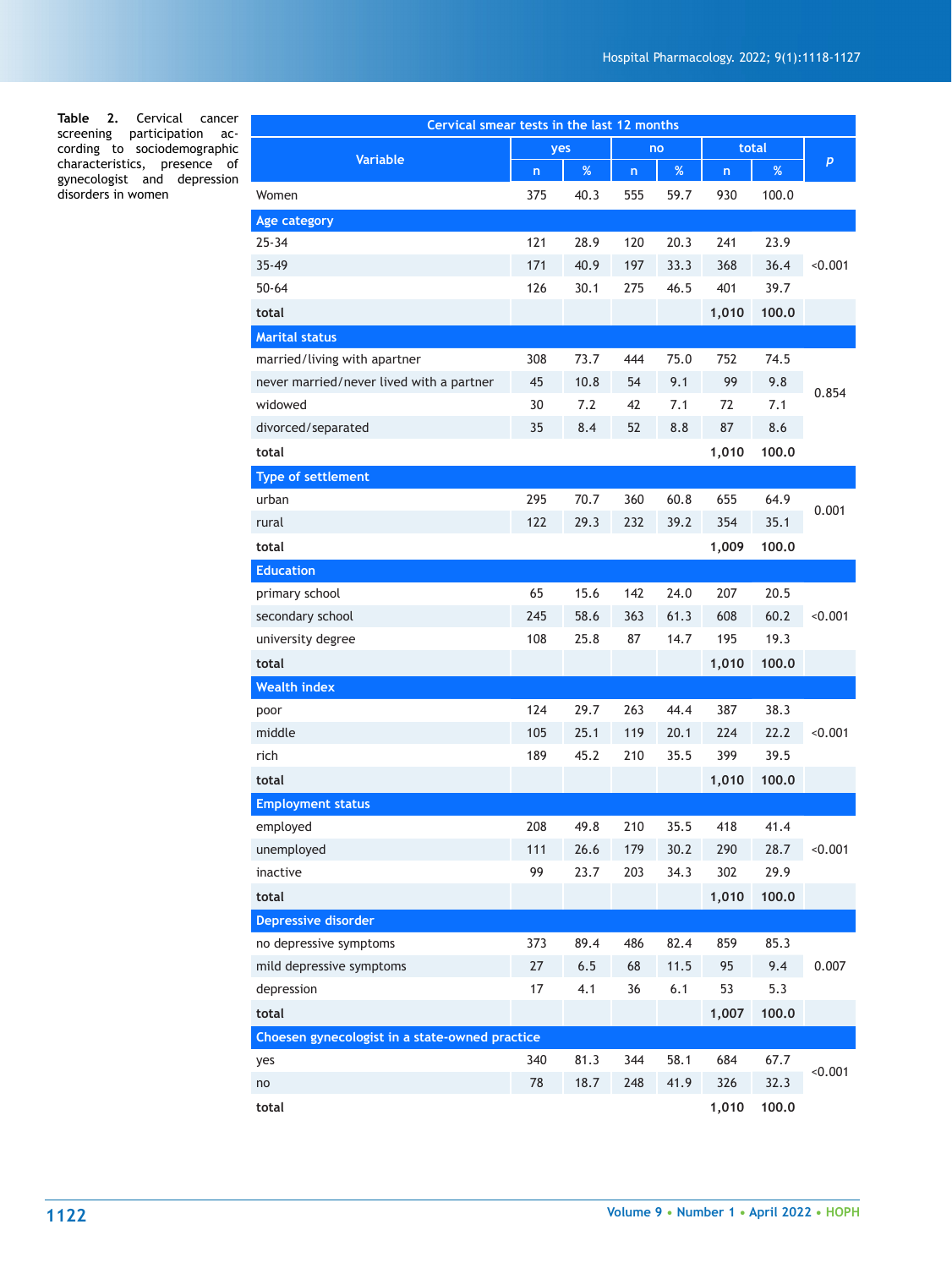**Table 2.** Cervical cancer screening participation according to sociodemographic characteristics, presence of gynecologist and depression disorders in women

| Cervical smear tests in the last 12 months     |     |      |              |      |                         |       |         |  |  |
|------------------------------------------------|-----|------|--------------|------|-------------------------|-------|---------|--|--|
| <b>Variable</b>                                | yes |      | no           |      | total                   |       |         |  |  |
|                                                | n   | $\%$ | $\mathsf{n}$ | $\%$ | $\overline{\mathsf{n}}$ | $\%$  | p       |  |  |
| Women                                          | 375 | 40.3 | 555          | 59.7 | 930                     | 100.0 |         |  |  |
| Age category                                   |     |      |              |      |                         |       |         |  |  |
| $25 - 34$                                      | 121 | 28.9 | 120          | 20.3 | 241                     | 23.9  |         |  |  |
| $35 - 49$                                      | 171 | 40.9 | 197          | 33.3 | 368                     | 36.4  | < 0.001 |  |  |
| $50 - 64$                                      | 126 | 30.1 | 275          | 46.5 | 401                     | 39.7  |         |  |  |
| total                                          |     |      |              |      | 1,010                   | 100.0 |         |  |  |
| <b>Marital status</b>                          |     |      |              |      |                         |       |         |  |  |
| married/living with apartner                   | 308 | 73.7 | 444          | 75.0 | 752                     | 74.5  |         |  |  |
| never married/never lived with a partner       | 45  | 10.8 | 54           | 9.1  | 99                      | 9.8   |         |  |  |
| widowed                                        | 30  | 7.2  | 42           | 7.1  | 72                      | 7.1   | 0.854   |  |  |
| divorced/separated                             | 35  | 8.4  | 52           | 8.8  | 87                      | 8.6   |         |  |  |
| total                                          |     |      |              |      | 1,010                   | 100.0 |         |  |  |
| <b>Type of settlement</b>                      |     |      |              |      |                         |       |         |  |  |
| urban                                          | 295 | 70.7 | 360          | 60.8 | 655                     | 64.9  |         |  |  |
| rural                                          | 122 | 29.3 | 232          | 39.2 | 354                     | 35.1  | 0.001   |  |  |
| total                                          |     |      |              |      | 1,009                   | 100.0 |         |  |  |
| <b>Education</b>                               |     |      |              |      |                         |       |         |  |  |
| primary school                                 | 65  | 15.6 | 142          | 24.0 | 207                     | 20.5  |         |  |  |
| secondary school                               | 245 | 58.6 | 363          | 61.3 | 608                     | 60.2  | < 0.001 |  |  |
| university degree                              | 108 | 25.8 | 87           | 14.7 | 195                     | 19.3  |         |  |  |
| total                                          |     |      |              |      | 1,010                   | 100.0 |         |  |  |
| <b>Wealth index</b>                            |     |      |              |      |                         |       |         |  |  |
| poor                                           | 124 | 29.7 | 263          | 44.4 | 387                     | 38.3  |         |  |  |
| middle                                         | 105 | 25.1 | 119          | 20.1 | 224                     | 22.2  | < 0.001 |  |  |
| rich                                           | 189 | 45.2 | 210          | 35.5 | 399                     | 39.5  |         |  |  |
| total                                          |     |      |              |      | 1,010                   | 100.0 |         |  |  |
| <b>Employment status</b>                       |     |      |              |      |                         |       |         |  |  |
| employed                                       | 208 | 49.8 | 210          | 35.5 | 418                     | 41.4  |         |  |  |
| unemployed                                     | 111 | 26.6 | 179          | 30.2 | 290                     | 28.7  | < 0.001 |  |  |
| inactive                                       | 99  | 23.7 | 203          | 34.3 | 302                     | 29.9  |         |  |  |
| total                                          |     |      |              |      | 1,010                   | 100.0 |         |  |  |
| <b>Depressive disorder</b>                     |     |      |              |      |                         |       |         |  |  |
| no depressive symptoms                         | 373 | 89.4 | 486          | 82.4 | 859                     | 85.3  |         |  |  |
| mild depressive symptoms                       | 27  | 6.5  | 68           | 11.5 | 95                      | 9.4   | 0.007   |  |  |
| depression                                     | 17  | 4.1  | 36           | 6.1  | 53                      | 5.3   |         |  |  |
| total                                          |     |      |              |      | 1,007                   | 100.0 |         |  |  |
| Choesen gynecologist in a state-owned practice |     |      |              |      |                         |       |         |  |  |
| yes                                            | 340 | 81.3 | 344          | 58.1 | 684                     | 67.7  | < 0.001 |  |  |
| no                                             | 78  | 18.7 | 248          | 41.9 | 326                     | 32.3  |         |  |  |
| total                                          |     |      |              |      | 1,010                   | 100.0 |         |  |  |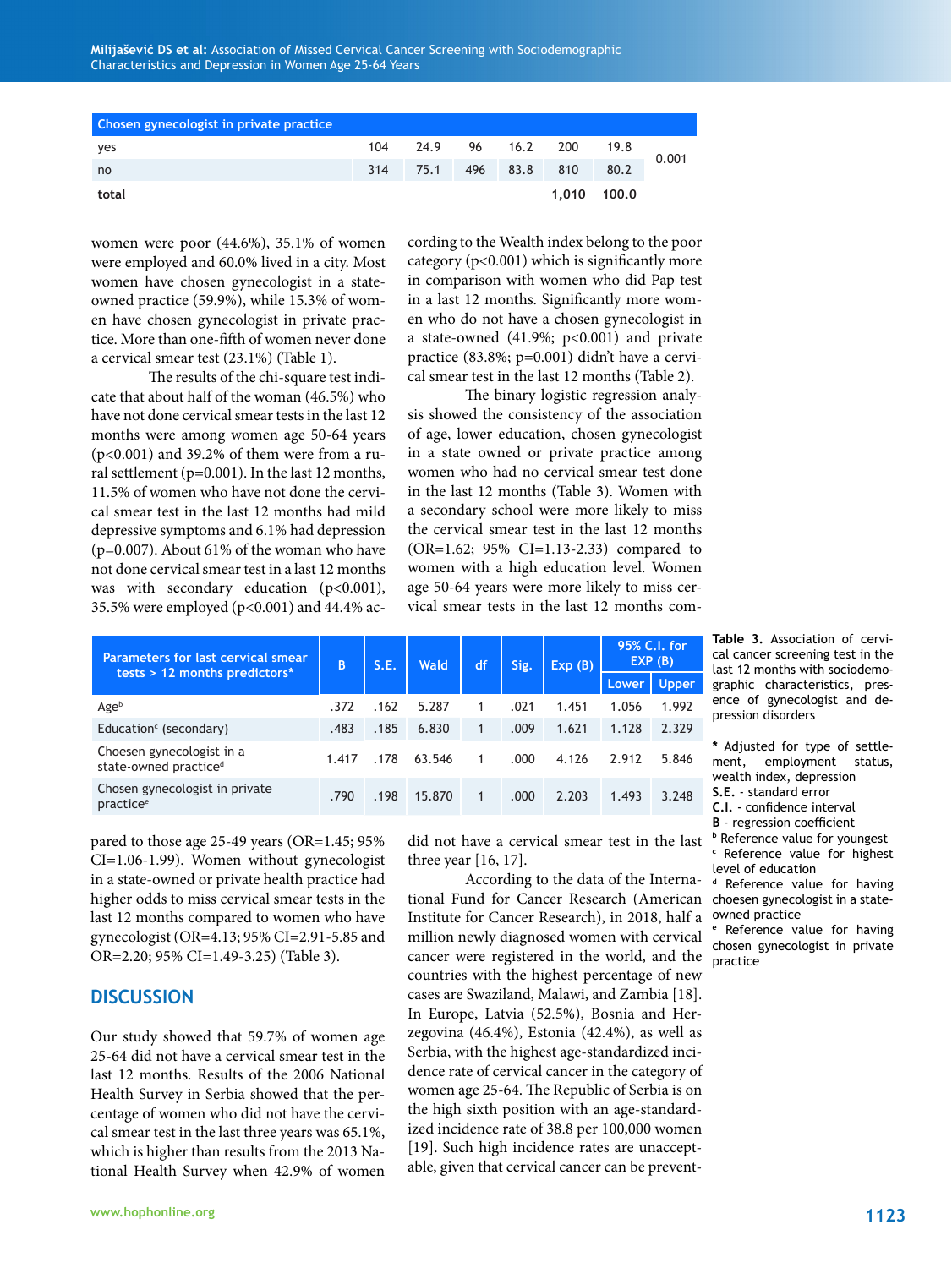| Chosen gynecologist in private practice |     |              |     |      |     |             |       |
|-----------------------------------------|-----|--------------|-----|------|-----|-------------|-------|
| yes                                     | 104 | 24.9 96 16.2 |     |      | 200 | 19.8        | 0.001 |
| no                                      | 314 | 75.1         | 496 | 83.8 | 810 | 80.2        |       |
| total                                   |     |              |     |      |     | 1,010 100,0 |       |

women were poor (44.6%), 35.1% of women were employed and 60.0% lived in a city. Most women have chosen gynecologist in a stateowned practice (59.9%), while 15.3% of women have chosen gynecologist in private practice. More than one-fifth of women never done a cervical smear test (23.1%) (Table 1).

The results of the chi-square test indicate that about half of the woman (46.5%) who have not done cervical smear tests in the last 12 months were among women age 50-64 years (p<0.001) and 39.2% of them were from a rural settlement ( $p=0.001$ ). In the last 12 months, 11.5% of women who have not done the cervical smear test in the last 12 months had mild depressive symptoms and 6.1% had depression (p=0.007). About 61% of the woman who have not done cervical smear test in a last 12 months was with secondary education (p<0.001), 35.5% were employed ( $p$ <0.001) and 44.4% according to the Wealth index belong to the poor category  $(p<0.001)$  which is significantly more in comparison with women who did Pap test in a last 12 months. Significantly more women who do not have a chosen gynecologist in a state-owned  $(41.9\%; p<0.001)$  and private practice (83.8%; p=0.001) didn't have a cervical smear test in the last 12 months (Table 2).

The binary logistic regression analysis showed the consistency of the association of age, lower education, chosen gynecologist in a state owned or private practice among women who had no cervical smear test done in the last 12 months (Table 3). Women with a secondary school were more likely to miss the cervical smear test in the last 12 months (OR=1.62; 95% CI=1.13-2.33) compared to women with a high education level. Women age 50-64 years were more likely to miss cervical smear tests in the last 12 months com-

| <b>Parameters for last cervical smear</b><br>tests > 12 months predictors* | B     | S.E. | <b>Wald</b> | df | Sig. | Exp(B) | 95% C.I. for<br>EXP (B) |       |
|----------------------------------------------------------------------------|-------|------|-------------|----|------|--------|-------------------------|-------|
|                                                                            |       |      |             |    |      |        | Lower.                  | Upper |
| Ageb                                                                       | .372  | .162 | 5.287       |    | .021 | 1.451  | 1.056                   | 1.992 |
| Education $\epsilon$ (secondary)                                           | .483  | .185 | 6.830       | 1  | .009 | 1.621  | 1.128                   | 2.329 |
| Choesen gynecologist in a<br>state-owned practice <sup>d</sup>             | 1.417 | .178 | 63.546      | 1  | .000 | 4.126  | 2.912                   | 5.846 |
| Chosen gynecologist in private<br>practice <sup>e</sup>                    | .790  | .198 | 15,870      |    | .000 | 2.203  | 1.493                   | 3.248 |

pared to those age 25-49 years (OR=1.45; 95% CI=1.06-1.99). Women without gynecologist in a state-owned or private health practice had higher odds to miss cervical smear tests in the last 12 months compared to women who have gynecologist (OR=4.13; 95% CI=2.91-5.85 and OR=2.20; 95% CI=1.49-3.25) (Table 3).

# **DISCUSSION**

Our study showed that 59.7% of women age 25-64 did not have a cervical smear test in the last 12 months. Results of the 2006 National Health Survey in Serbia showed that the percentage of women who did not have the cervical smear test in the last three years was 65.1%, which is higher than results from the 2013 National Health Survey when 42.9% of women

did not have a cervical smear test in the last three year [16, 17].

tional Fund for Cancer Research (American choesen gynecologist in a state-According to the data of the Interna-Institute for Cancer Research), in 2018, half a million newly diagnosed women with cervical cancer were registered in the world, and the countries with the highest percentage of new cases are Swaziland, Malawi, and Zambia [18]. In Europe, Latvia (52.5%), Bosnia and Herzegovina (46.4%), Estonia (42.4%), as well as Serbia, with the highest age-standardized incidence rate of cervical cancer in the category of women age 25-64. The Republic of Serbia is on the high sixth position with an age-standardized incidence rate of 38.8 per 100,000 women [19]. Such high incidence rates are unacceptable, given that cervical cancer can be prevent-

**Table 3.** Association of cervical cancer screening test in the last 12 months with sociodemographic characteristics, presence of gynecologist and depression disorders

**\*** Adjusted for type of settlement, employment status, wealth index, depression

- **S.E.** standard error
- **C.I.** confidence interval

**B** - regression coefficient **<sup>b</sup>** Reference value for youngest

**c** Reference value for highest level of education

**<sup>d</sup>** Reference value for having owned practice

Reference value for having chosen gynecologist in private practice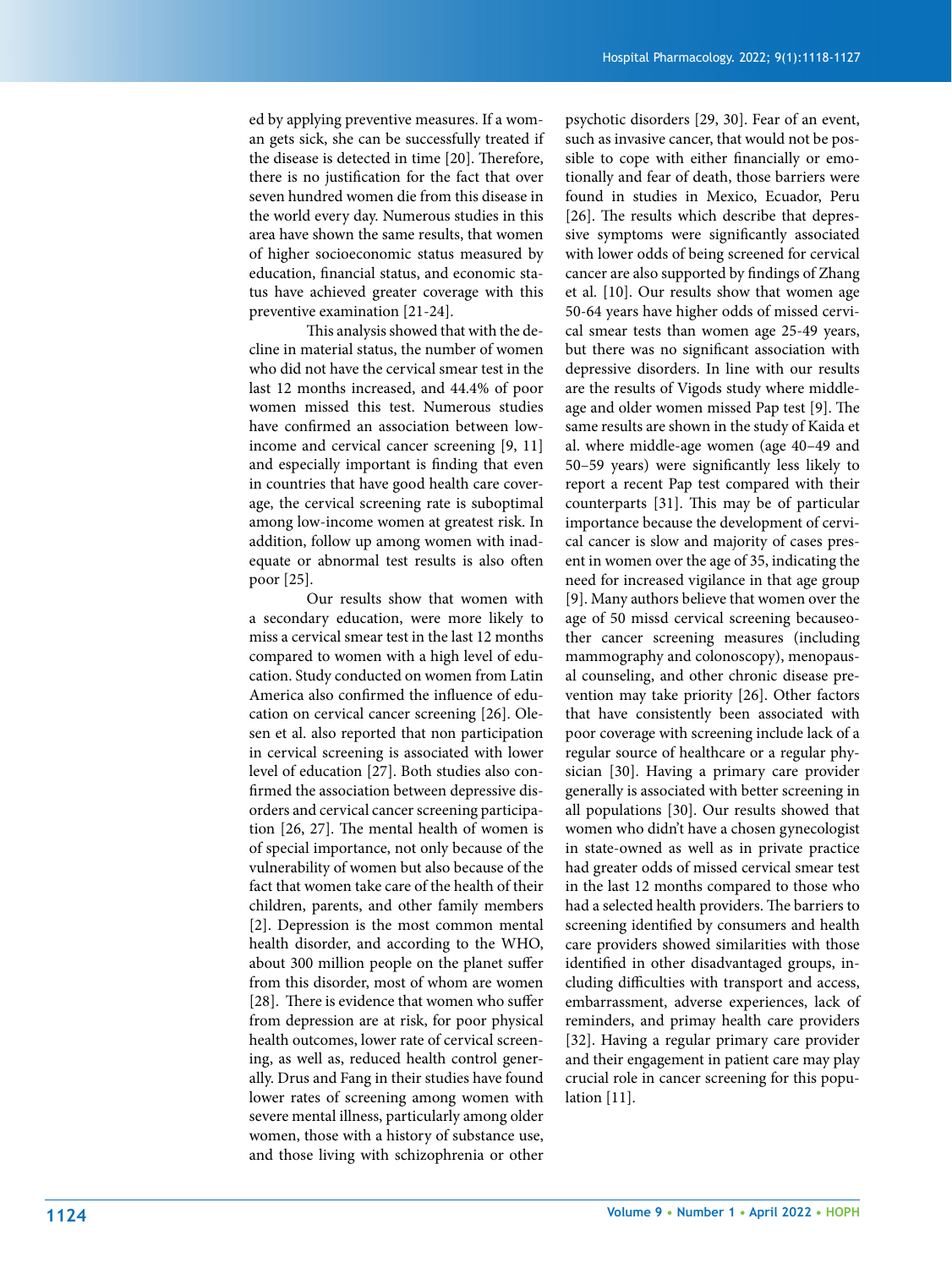ed by applying preventive measures. If a woman gets sick, she can be successfully treated if the disease is detected in time [20]. Therefore, there is no justification for the fact that over seven hundred women die from this disease in the world every day. Numerous studies in this area have shown the same results, that women of higher socioeconomic status measured by education, financial status, and economic status have achieved greater coverage with this preventive examination [21-24].

This analysis showed that with the decline in material status, the number of women who did not have the cervical smear test in the last 12 months increased, and 44.4% of poor women missed this test. Numerous studies have confirmed an association between lowincome and cervical cancer screening [9, 11] and especially important is finding that even in countries that have good health care coverage, the cervical screening rate is suboptimal among low-income women at greatest risk. In addition, follow up among women with inadequate or abnormal test results is also often poor [25].

Our results show that women with a secondary education, were more likely to miss a cervical smear test in the last 12 months compared to women with a high level of education. Study conducted on women from Latin America also confirmed the influence of education on cervical cancer screening [26]. Olesen et al. also reported that non participation in cervical screening is associated with lower level of education [27]. Both studies also confirmed the association between depressive disorders and cervical cancer screening participation [26, 27]. The mental health of women is of special importance, not only because of the vulnerability of women but also because of the fact that women take care of the health of their children, parents, and other family members [2]. Depression is the most common mental health disorder, and according to the WHO, about 300 million people on the planet suffer from this disorder, most of whom are women [28]. There is evidence that women who suffer from depression are at risk, for poor physical health outcomes, lower rate of cervical screening, as well as, reduced health control generally. Drus and Fang in their studies have found lower rates of screening among women with severe mental illness, particularly among older women, those with a history of substance use, and those living with schizophrenia or other psychotic disorders [29, 30]. Fear of an event, such as invasive cancer, that would not be possible to cope with either financially or emotionally and fear of death, those barriers were found in studies in Mexico, Ecuador, Peru [26]. The results which describe that depressive symptoms were significantly associated with lower odds of being screened for cervical cancer are also supported by findings of Zhang et al. [10]. Our results show that women age 50-64 years have higher odds of missed cervical smear tests than women age 25-49 years, but there was no significant association with depressive disorders. In line with our results are the results of Vigods study where middleage and older women missed Pap test [9]. The same results are shown in the study of Kaida et al. where middle-age women (age 40–49 and 50–59 years) were significantly less likely to report a recent Pap test compared with their counterparts [31]. This may be of particular importance because the development of cervical cancer is slow and majority of cases present in women over the age of 35, indicating the need for increased vigilance in that age group [9]. Many authors believe that women over the age of 50 missd cervical screening becauseother cancer screening measures (including mammography and colonoscopy), menopausal counseling, and other chronic disease prevention may take priority [26]. Other factors that have consistently been associated with poor coverage with screening include lack of a regular source of healthcare or a regular physician [30]. Having a primary care provider generally is associated with better screening in all populations [30]. Our results showed that women who didn't have a chosen gynecologist in state-owned as well as in private practice had greater odds of missed cervical smear test in the last 12 months compared to those who had a selected health providers. The barriers to screening identified by consumers and health care providers showed similarities with those identified in other disadvantaged groups, including difficulties with transport and access, embarrassment, adverse experiences, lack of reminders, and primay health care providers [32]. Having a regular primary care provider and their engagement in patient care may play crucial role in cancer screening for this population [11].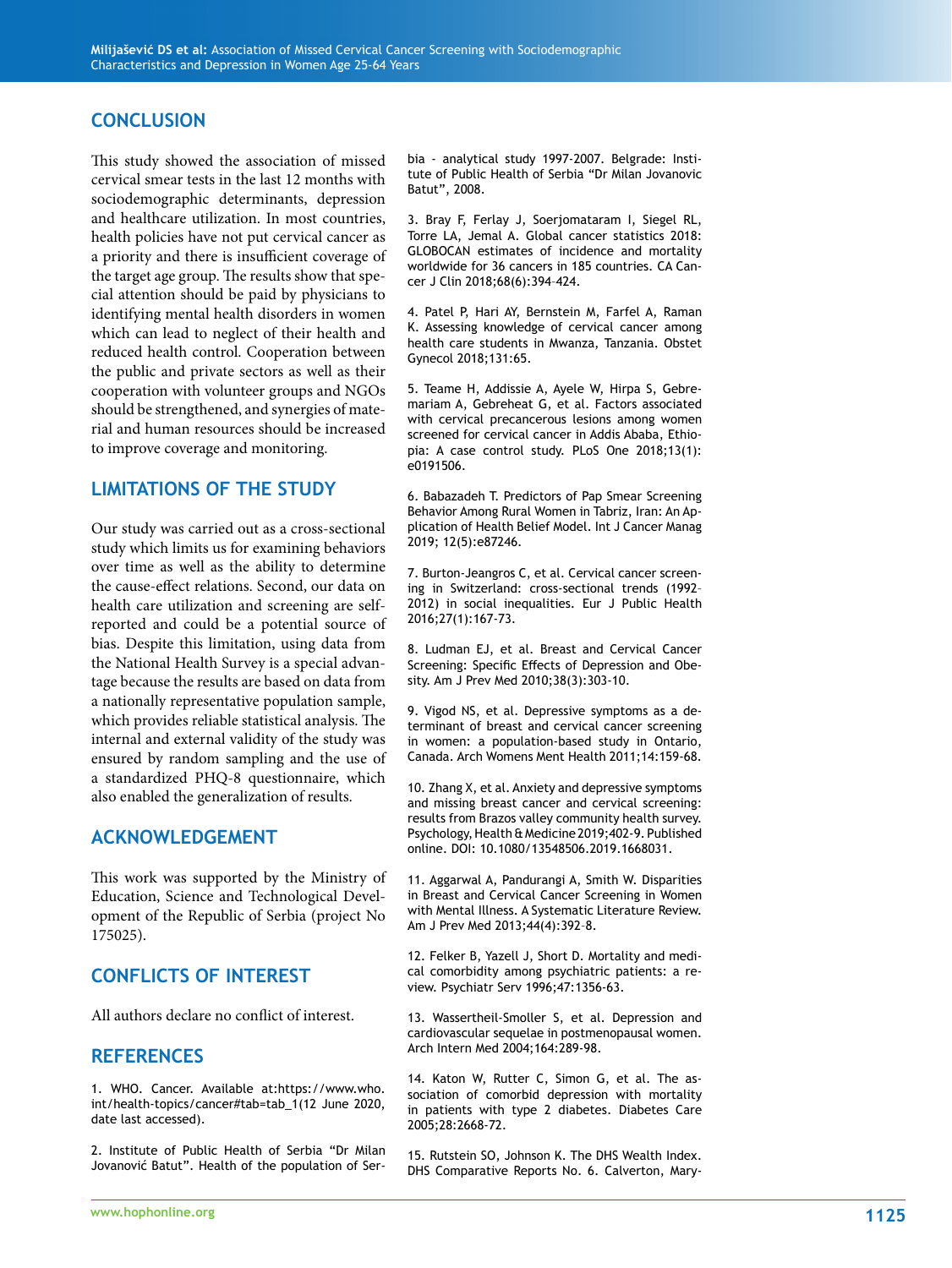### **CONCLUSION**

This study showed the association of missed cervical smear tests in the last 12 months with sociodemographic determinants, depression and healthcare utilization. In most countries, health policies have not put cervical cancer as a priority and there is insufficient coverage of the target age group. The results show that special attention should be paid by physicians to identifying mental health disorders in women which can lead to neglect of their health and reduced health control. Cooperation between the public and private sectors as well as their cooperation with volunteer groups and NGOs should be strengthened, and synergies of material and human resources should be increased to improve coverage and monitoring.

## **LIMITATIONS OF THE STUDY**

Our study was carried out as a cross-sectional study which limits us for examining behaviors over time as well as the ability to determine the cause-effect relations. Second, our data on health care utilization and screening are selfreported and could be a potential source of bias. Despite this limitation, using data from the National Health Survey is a special advantage because the results are based on data from a nationally representative population sample, which provides reliable statistical analysis. The internal and external validity of the study was ensured by random sampling and the use of a standardized PHQ-8 questionnaire, which also enabled the generalization of results.

#### **ACKNOWLEDGEMENT**

This work was supported by the Ministry of Education, Science and Technological Development of the Republic of Serbia (project No 175025).

# **CONFLICTS OF INTEREST**

All authors declare no conflict of interest.

#### **REFERENCES**

1. WHO. Cancer. Available at:https://www.who. int/health-topics/cancer#tab=tab\_1(12 June 2020, date last accessed).

2. Institute of Public Health of Serbia "Dr Milan Jovanović Batut". Health of the population of Serbia - analytical study 1997-2007. Belgrade: Institute of Public Health of Serbia "Dr Milan Jovanovic Batut", 2008.

3. Bray F, Ferlay J, Soerjomataram I, Siegel RL, Torre LA, Jemal A. Global cancer statistics 2018: GLOBOCAN estimates of incidence and mortality worldwide for 36 cancers in 185 countries. CA Cancer J Clin 2018;68(6):394–424.

4. Patel P, Hari AY, Bernstein M, Farfel A, Raman K. Assessing knowledge of cervical cancer among health care students in Mwanza, Tanzania. Obstet Gynecol 2018;131:65.

5. Teame H, Addissie A, Ayele W, Hirpa S, Gebremariam A, Gebreheat G, et al. Factors associated with cervical precancerous lesions among women screened for cervical cancer in Addis Ababa, Ethiopia: A case control study. PLoS One 2018;13(1): e0191506.

6. Babazadeh T. Predictors of Pap Smear Screening Behavior Among Rural Women in Tabriz, Iran: An Application of Health Belief Model. Int J Cancer Manag 2019; 12(5):e87246.

7. Burton-Jeangros C, et al. Cervical cancer screening in Switzerland: cross-sectional trends (1992– 2012) in social inequalities. Eur J Public Health 2016;27(1):167-73.

8. Ludman EJ, et al. Breast and Cervical Cancer Screening: Specific Effects of Depression and Obesity. Am J Prev Med 2010;38(3):303-10.

9. Vigod NS, et al. Depressive symptoms as a determinant of breast and cervical cancer screening in women: a population-based study in Ontario, Canada. Arch Womens Ment Health 2011;14:159-68.

10. Zhang X, et al. Anxiety and depressive symptoms and missing breast cancer and cervical screening: results from Brazos valley community health survey. Psychology, Health & Medicine 2019;402-9. Published online. DOI: 10.1080/13548506.2019.1668031.

11. Aggarwal A, Pandurangi A, Smith W. Disparities in Breast and Cervical Cancer Screening in Women with Mental Illness. A Systematic Literature Review. Am J Prev Med 2013;44(4):392–8.

12. Felker B, Yazell J, Short D. Mortality and medical comorbidity among psychiatric patients: a review. Psychiatr Serv 1996;47:1356-63.

13. Wassertheil-Smoller S, et al. Depression and cardiovascular sequelae in postmenopausal women. Arch Intern Med 2004;164:289-98.

14. Katon W, Rutter C, Simon G, et al. The association of comorbid depression with mortality in patients with type 2 diabetes. Diabetes Care 2005;28:2668-72.

15. Rutstein SO, Johnson K. The DHS Wealth Index. DHS Comparative Reports No. 6. Calverton, Mary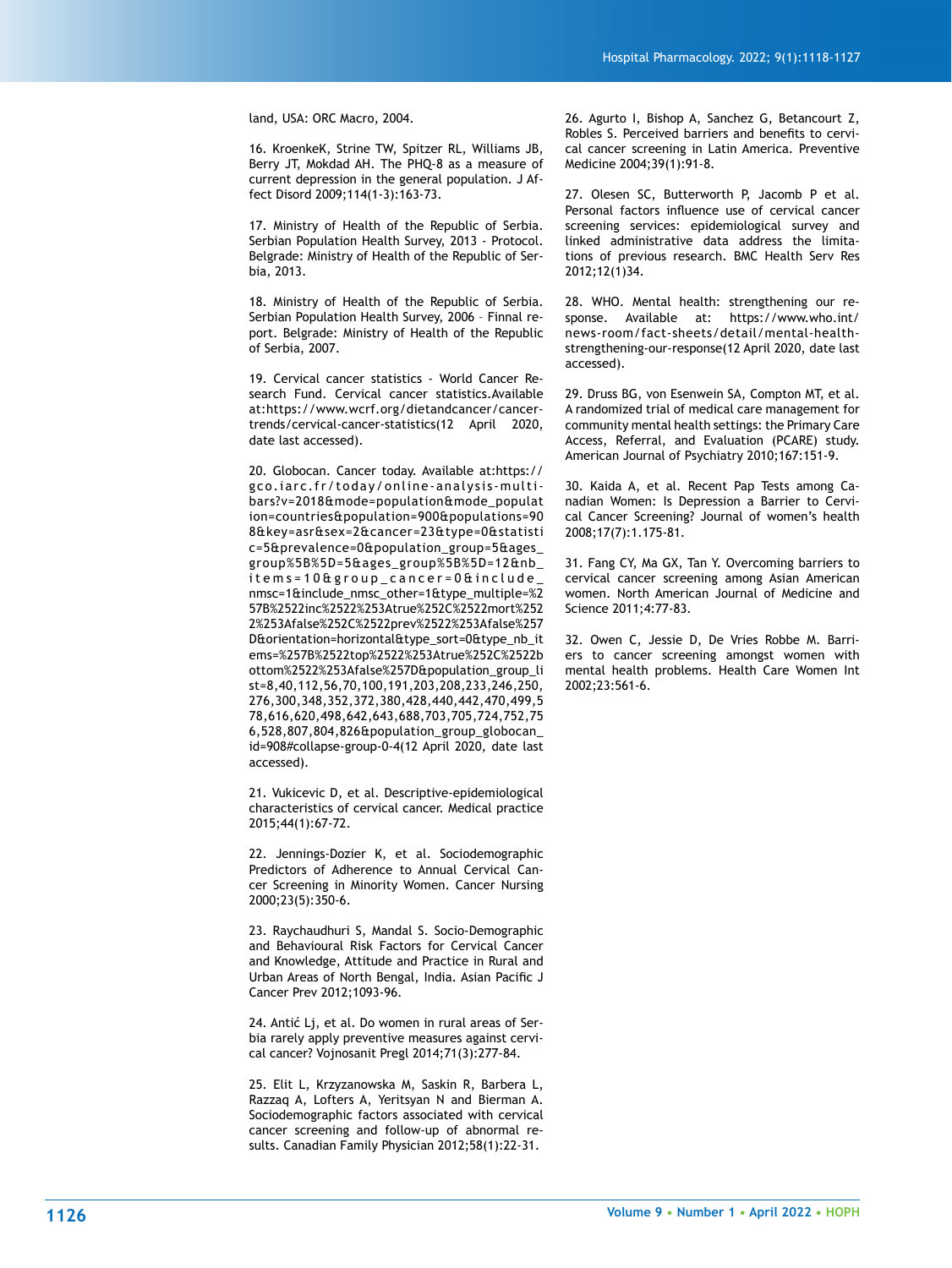land, USA: ORC Macro, 2004.

16. KroenkeK, Strine TW, Spitzer RL, Williams JB, Berry JT, Mokdad AH. The PHQ-8 as a measure of current depression in the general population. J Affect Disord 2009;114(1-3):163-73.

17. Ministry of Health of the Republic of Serbia. Serbian Population Health Survey, 2013 - Protocol. Belgrade: Ministry of Health of the Republic of Serbia, 2013.

18. Ministry of Health of the Republic of Serbia. Serbian Population Health Survey, 2006 – Finnal report. Belgrade: Ministry of Health of the Republic of Serbia, 2007.

19. Cervical cancer statistics - World Cancer Research Fund. Cervical cancer statistics.Available at:https://www.wcrf.org/dietandcancer/cancertrends/cervical-cancer-statistics(12 April 2020, date last accessed).

20. Globocan. Cancer today. Available at:https:// gco.iarc.fr/today/online-analysis-multibars?v=2018&mode=population&mode\_populat ion=countries&population=900&populations=90 8&key=asr&sex=2&cancer=23&type=0&statisti c=5&prevalence=0&population\_group=5&ages\_ group%5B%5D=5&ages\_group%5B%5D=12&nb\_ items=10&group\_cancer=0&include\_ nmsc=1&include\_nmsc\_other=1&type\_multiple=%2 57B%2522inc%2522%253Atrue%252C%2522mort%252 2%253Afalse%252C%2522prev%2522%253Afalse%257 D&orientation=horizontal&type\_sort=0&type\_nb\_it ems=%257B%2522top%2522%253Atrue%252C%2522b ottom%2522%253Afalse%257D&population\_group\_li st=8,40,112,56,70,100,191,203,208,233,246,250, 276,300,348,352,372,380,428,440,442,470,499,5 78,616,620,498,642,643,688,703,705,724,752,75 6,528,807,804,826&population\_group\_globocan\_ id=908#collapse-group-0-4(12 April 2020, date last accessed).

21. Vukicevic D, et al. Descriptive-epidemiological characteristics of cervical cancer. Medical practice 2015;44(1):67-72.

22. Jennings-Dozier K, et al. Sociodemographic Predictors of Adherence to Annual Cervical Cancer Screening in Minority Women. Cancer Nursing 2000;23(5):350-6.

23. Raychaudhuri S, Mandal S. Socio-Demographic and Behavioural Risk Factors for Cervical Cancer and Knowledge, Attitude and Practice in Rural and Urban Areas of North Bengal, India. Asian Pacific J Cancer Prev 2012;1093-96.

24. Antić Lj, et al. Do women in rural areas of Serbia rarely apply preventive measures against cervical cancer? Vojnosanit Pregl 2014;71(3):277-84.

25. Elit L, Krzyzanowska M, Saskin R, Barbera L, Razzaq A, Lofters A, Yeritsyan N and Bierman A. Sociodemographic factors associated with cervical cancer screening and follow-up of abnormal results. Canadian Family Physician 2012;58(1):22-31.

26. Agurto I, Bishop A, Sanchez G, Betancourt Z, Robles S. Perceived barriers and benefits to cervical cancer screening in Latin America. Preventive Medicine 2004;39(1):91-8.

27. Olesen SC, Butterworth P, Jacomb P et al. Personal factors influence use of cervical cancer screening services: epidemiological survey and linked administrative data address the limitations of previous research. BMC Health Serv Res 2012;12(1)34.

28. WHO. Mental health: strengthening our response. Available at: https://www.who.int/ news-room/fact-sheets/detail/mental-healthstrengthening-our-response(12 April 2020, date last accessed).

29. Druss BG, von Esenwein SA, Compton MT, et al. A randomized trial of medical care management for community mental health settings: the Primary Care Access, Referral, and Evaluation (PCARE) study. American Journal of Psychiatry 2010;167:151-9.

30. Kaida A, et al. Recent Pap Tests among Canadian Women: Is Depression a Barrier to Cervical Cancer Screening? Journal of women's health 2008;17(7):1.175-81.

31. Fang CY, Ma GX, Tan Y. Overcoming barriers to cervical cancer screening among Asian American women. North American Journal of Medicine and Science 2011;4:77-83.

32. Owen C, Jessie D, De Vries Robbe M. Barriers to cancer screening amongst women with mental health problems. Health Care Women Int 2002;23:561-6.